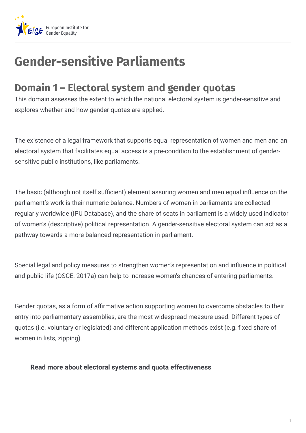

## **Gender-sensitive Parliaments**

## **Domain 1 – Electoral system and gender quotas**

This domain assesses the extent to which the national electoral system is gender-sensitive and explores whether and how gender quotas are applied.

The existence of a legal framework that supports equal representation of women and men and an electoral system that facilitates equal access is a pre-condition to the establishment of gendersensitive public institutions, like parliaments.

The basic (although not itself sufficient) element assuring women and men equal influence on the parliament's work is their numeric balance. Numbers of women in parliaments are collected regularly worldwide (IPU Database), and the share of seats in parliament is a widely used indicator of women's (descriptive) political representation. A gender-sensitive electoral system can act as a pathway towards a more balanced representation in parliament.

Special legal and policy measures to strengthen women's representation and influence in political and public life (OSCE: 2017a) can help to increase women's chances of entering parliaments.

Gender quotas, as a form of affirmative action supporting women to overcome obstacles to their entry into parliamentary assemblies, are the most widespread measure used. Different types of quotas (i.e. voluntary or legislated) and different application methods exist (e.g. fixed share of women in lists, zipping).

## **Read more about electoral systems and quota effectiveness**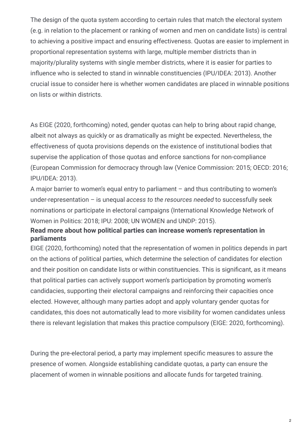The design of the quota system according to certain rules that match the electoral system (e.g. in relation to the placement or ranking of women and men on candidate lists) is central to achieving a positive impact and ensuring effectiveness. Quotas are easier to implement in proportional representation systems with large, multiple member districts than in majority/plurality systems with single member districts, where it is easier for parties to influence who is selected to stand in winnable constituencies (IPU/IDEA: 2013). Another crucial issue to consider here is whether women candidates are placed in winnable positions on lists or within districts.

As EIGE (2020, forthcoming) noted, gender quotas can help to bring about rapid change, albeit not always as quickly or as dramatically as might be expected. Nevertheless, the effectiveness of quota provisions depends on the existence of institutional bodies that supervise the application of those quotas and enforce sanctions for non-compliance (European Commission for democracy through law (Venice Commission: 2015; OECD: 2016; IPU/IDEA: 2013).

A major barrier to women's equal entry to parliament – and thus contributing to women's under-representation – is unequal *access to the resources needed* to successfully seek nominations or participate in electoral campaigns (International Knowledge Network of Women in Politics: 2018; IPU: 2008; UN WOMEN and UNDP: 2015).

## **Read more about how political parties can increase women's representation in parliaments**

EIGE (2020, forthcoming) noted that the representation of women in politics depends in part on the actions of political parties, which determine the selection of candidates for election and their position on candidate lists or within constituencies. This is significant, as it means that political parties can actively support women's participation by promoting women's candidacies, supporting their electoral campaigns and reinforcing their capacities once elected. However, although many parties adopt and apply voluntary gender quotas for candidates, this does not automatically lead to more visibility for women candidates unless there is relevant legislation that makes this practice compulsory (EIGE: 2020, forthcoming).

During the pre-electoral period, a party may implement specific measures to assure the presence of women. Alongside establishing candidate quotas, a party can ensure the placement of women in winnable positions and allocate funds for targeted training.